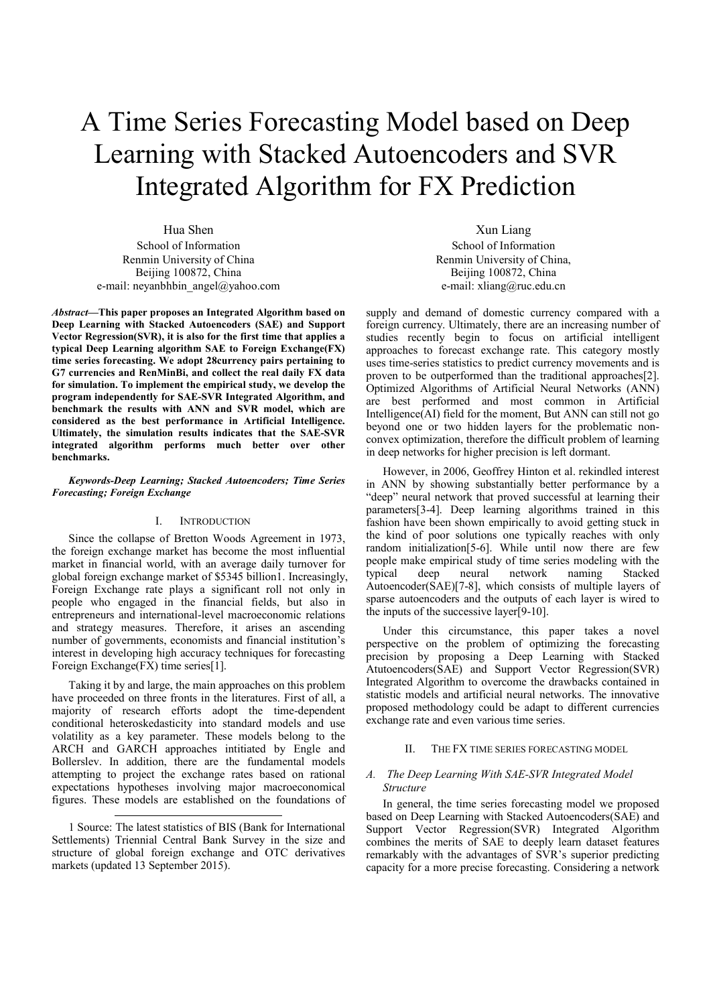# A Time Series Forecasting Model based on Deep Learning with Stacked Autoencoders and SVR Integrated Algorithm for FX Prediction

Hua Shen School of Information Renmin University of China Beijing 100872, China e-mail: neyanbhbin\_angel@yahoo.com

*Abstract***—This paper proposes an Integrated Algorithm based on Deep Learning with Stacked Autoencoders (SAE) and Support Vector Regression(SVR), it is also for the first time that applies a typical Deep Learning algorithm SAE to Foreign Exchange(FX) time series forecasting. We adopt 28currency pairs pertaining to G7 currencies and RenMinBi, and collect the real daily FX data for simulation. To implement the empirical study, we develop the program independently for SAE-SVR Integrated Algorithm, and benchmark the results with ANN and SVR model, which are considered as the best performance in Artificial Intelligence. Ultimately, the simulation results indicates that the SAE-SVR integrated algorithm performs much better over other benchmarks.**

## *Keywords-Deep Learning; Stacked Autoencoders; Time Series Forecasting; Foreign Exchange*

## I. INTRODUCTION

Since the collapse of Bretton Woods Agreement in 1973, the foreign exchange market has become the most influential market in financial world, with an average daily turnover for global foreign exchange market of \$5345 billion1. Increasingly, Foreign Exchange rate plays a significant roll not only in people who engaged in the financial fields, but also in entrepreneurs and international-level macroeconomic relations and strategy measures. Therefore, it arises an ascending number of governments, economists and financial institution's interest in developing high accuracy techniques for forecasting Foreign Exchange(FX) time series[1].

Taking it by and large, the main approaches on this problem have proceeded on three fronts in the literatures. First of all, a majority of research efforts adopt the time-dependent conditional heteroskedasticity into standard models and use volatility as a key parameter. These models belong to the ARCH and GARCH approaches intitiated by Engle and Bollerslev. In addition, there are the fundamental models attempting to project the exchange rates based on rational expectations hypotheses involving major macroeconomical figures. These models are established on the foundations of

 $\overline{a}$ 

Xun Liang School of Information Renmin University of China, Beijing 100872, China e-mail: xliang@ruc.edu.cn

supply and demand of domestic currency compared with a foreign currency. Ultimately, there are an increasing number of studies recently begin to focus on artificial intelligent approaches to forecast exchange rate. This category mostly uses time-series statistics to predict currency movements and is proven to be outperformed than the traditional approaches[2]. Optimized Algorithms of Artificial Neural Networks (ANN) are best performed and most common in Artificial Intelligence(AI) field for the moment, But ANN can still not go beyond one or two hidden layers for the problematic nonconvex optimization, therefore the difficult problem of learning in deep networks for higher precision is left dormant.

However, in 2006, Geoffrey Hinton et al. rekindled interest in ANN by showing substantially better performance by a "deep" neural network that proved successful at learning their parameters[3-4]. Deep learning algorithms trained in this fashion have been shown empirically to avoid getting stuck in the kind of poor solutions one typically reaches with only random initialization[5-6]. While until now there are few people make empirical study of time series modeling with the typical deep neural network naming Stacked typical deep neural network naming Stacked Autoencoder(SAE)[7-8], which consists of multiple layers of sparse autoencoders and the outputs of each layer is wired to the inputs of the successive layer[9-10].

Under this circumstance, this paper takes a novel perspective on the problem of optimizing the forecasting precision by proposing a Deep Learning with Stacked Atutoencoders(SAE) and Support Vector Regression(SVR) Integrated Algorithm to overcome the drawbacks contained in statistic models and artificial neural networks. The innovative proposed methodology could be adapt to different currencies exchange rate and even various time series.

## II. THE FX TIME SERIES FORECASTING MODEL

## *A. The Deep Learning With SAE-SVR Integrated Model Structure*

In general, the time series forecasting model we proposed based on Deep Learning with Stacked Autoencoders(SAE) and Support Vector Regression(SVR) Integrated Algorithm combines the merits of SAE to deeply learn dataset features remarkably with the advantages of SVR's superior predicting capacity for a more precise forecasting. Considering a network

<sup>1</sup> Source: The latest statistics of BIS (Bank for International Settlements) Triennial Central Bank Survey in the size and structure of global foreign exchange and OTC derivatives markets (updated 13 September 2015).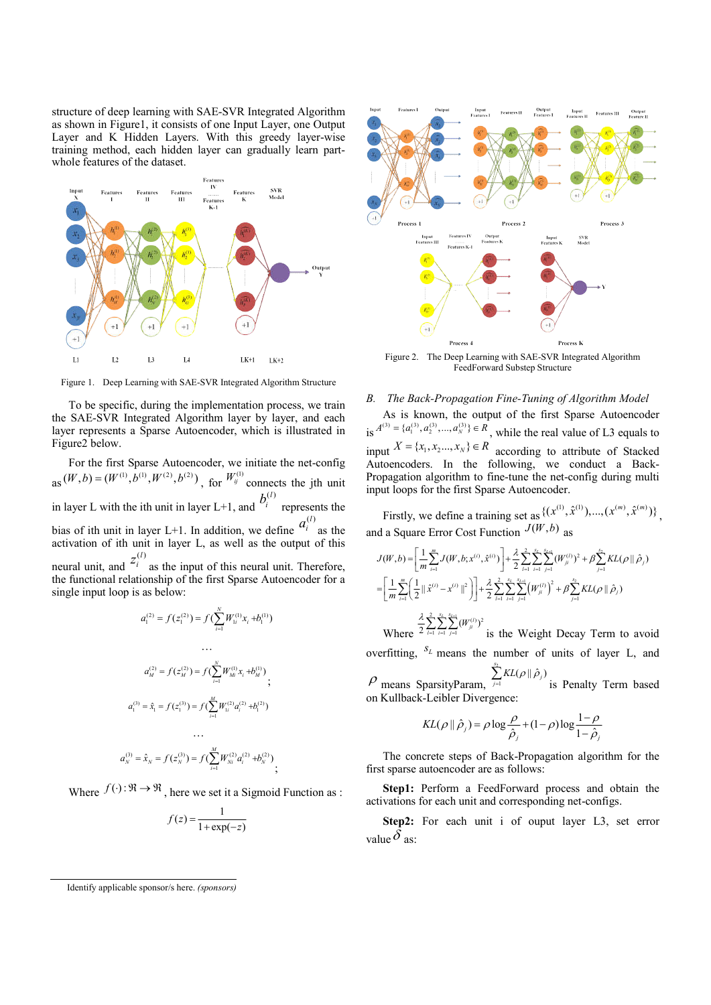structure of deep learning with SAE-SVR Integrated Algorithm as shown in Figure1, it consists of one Input Layer, one Output Layer and K Hidden Layers. With this greedy layer-wise training method, each hidden layer can gradually learn partwhole features of the dataset.



Figure 1. Deep Learning with SAE-SVR Integrated Algorithm Structure

To be specific, during the implementation process, we train the SAE-SVR Integrated Algorithm layer by layer, and each layer represents a Sparse Autoencoder, which is illustrated in Figure2 below.

For the first Sparse Autoencoder, we initiate the net-config  $_{\text{as}}(W, b) = (W^{(1)}, b^{(1)}, W^{(2)}, b^{(2)})$ , for  $W^{(1)}_y$  connects the jth unit in layer L with the ith unit in layer L+1, and  $(l)$ *<sup>i</sup> <sup>b</sup>* represents the bias of ith unit in layer L+1. In addition, we define  $a_i^{(l)}$  as the activation of ith unit in layer L, as well as the output of this neural unit, and  $z_i^{(l)}$  as the input of this neural unit. Therefore, the functional relationship of the first Sparse Autoencoder for a single input loop is as below:

$$
a_1^{(2)} = f(z_1^{(2)}) = f(\sum_{i=1}^N W_{1i}^{(1)} x_i + b_1^{(1)})
$$
  
\n...  
\n
$$
a_M^{(2)} = f(z_M^{(2)}) = f(\sum_{i=1}^N W_{Mi}^{(1)} x_i + b_M^{(1)})
$$
  
\n
$$
a_1^{(3)} = \hat{x}_1 = f(z_1^{(3)}) = f(\sum_{i=1}^M W_{1i}^{(2)} a_i^{(2)} + b_1^{(2)})
$$
  
\n...  
\n
$$
a_N^{(3)} = \hat{x}_N = f(z_N^{(3)}) = f(\sum_{i=1}^M W_{Ni}^{(2)} a_i^{(2)} + b_N^{(2)})
$$

Where  $f(\cdot): \mathbb{R} \to \mathbb{R}$ , here we set it a Sigmoid Function as :

$$
f(z) = \frac{1}{1 + \exp(-z)}
$$

Input<br>Features l **Input**<br>Features II **Features II** Output<br>Feature L Process Process ? Process 3 **Features IV** Input<br>Features III SVR<br>Model **Engineer K.A** 

Figure 2. The Deep Learning with SAE-SVR Integrated Algorithm FeedForward Substep Structure

Process 4

Process K

## *B. The Back-Propagation Fine-Tuning of Algorithm Model*

As is known, the output of the first Sparse Autoencoder is  $A^{(3)} = \{a_1^{(3)}, a_2^{(3)}, ..., a_N^{(3)}\} \in R$ , while the real value of L3 equals to input  $X = \{x_1, x_2, ..., x_N\} \in \mathbb{R}$  according to attribute of Stacked Autoencoders. In the following, we conduct a Back-Propagation algorithm to fine-tune the net-config during multi input loops for the first Sparse Autoencoder.

Firstly, we define a training set as  $\{(x^{(1)}, \hat{x}^{(1)}), ..., (x^{(m)}, \hat{x}^{(m)})\}$ , and a Square Error Cost Function  $J(W, b)$  as

$$
J(W, b) = \left[\frac{1}{m} \sum_{i=1}^{m} J(W, b; x^{(i)}, \hat{x}^{(i)})\right] + \frac{\lambda}{2} \sum_{i=1}^{2} \sum_{i=1}^{s_{i}} \sum_{j=1}^{n} (W_{ji}^{(i)})^{2} + \beta \sum_{j=1}^{s_{2}} KL(\rho || \hat{\rho}_{j})
$$
  
\n
$$
= \left[\frac{1}{m} \sum_{i=1}^{m} \left(\frac{1}{2} || \hat{x}^{(i)} - x^{(i)} ||^{2}\right)\right] + \frac{\lambda}{2} \sum_{i=1}^{2} \sum_{i=1}^{s_{i}} \sum_{j=1}^{s_{i+1}} (W_{ji}^{(i)})^{2} + \beta \sum_{j=1}^{s_{2}} KL(\rho || \hat{\rho}_{j})
$$
  
\nWhere  $\frac{\lambda}{2} \sum_{i=1}^{2} \sum_{i=1}^{s_{i}} \sum_{j=1}^{s_{i+1}} (W_{ji}^{(i)})^{2}$  is the Weight Decay Term to avoid

overfitting,  $S_L$  means the number of units of layer L, and 2

 $\rho$  means SparsityParam,  $\sum\limits_{j=1}^{s_2} \textit{KL}(\rho \, \| \, \hat{\rho}_j)$  $\sum_{j=1}^{N} KL(\rho || \hat{\rho}_j)$  is Penalty Term based on Kullback-Leibler Divergence:

$$
KL(\rho \|\hat{\rho}_j) = \rho \log \frac{\rho}{\hat{\rho}_j} + (1 - \rho) \log \frac{1 - \rho}{1 - \hat{\rho}_j}
$$

The concrete steps of Back-Propagation algorithm for the first sparse autoencoder are as follows:

**Step1:** Perform a FeedForward process and obtain the activations for each unit and corresponding net-configs.

**Step2:** For each unit i of ouput layer L3, set error value  $\delta$  as:

Identify applicable sponsor/s here. *(sponsors)*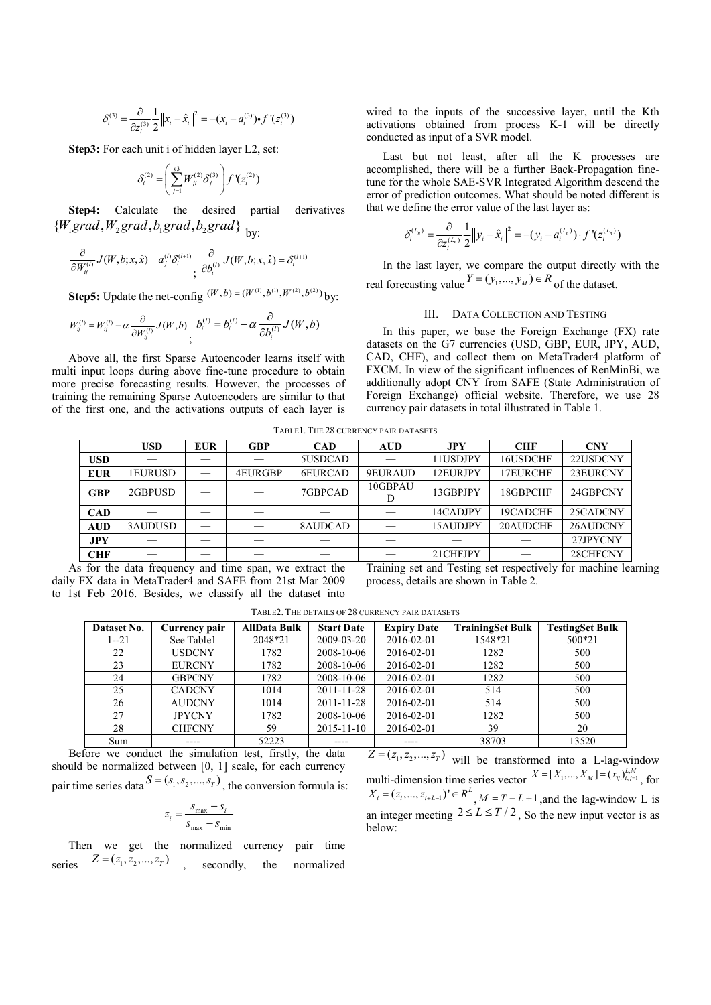$$
\delta_i^{(3)} = \frac{\partial}{\partial z_i^{(3)}} \frac{1}{2} ||x_i - \hat{x}_i||^2 = -(x_i - a_i^{(3)}) \cdot f'(z_i^{(3)})
$$

**Step3:** For each unit i of hidden layer L2, set:

$$
\delta_i^{(2)} = \left(\sum_{j=1}^{s3} W_{ji}^{(2)} \delta_j^{(3)}\right) f'(z_i^{(2)})
$$

**Step4:** Calculate the desired partial derivatives  ${W_1 grad, W_2 grad, b_1 grad, b_2 grad}$ <sub>by:</sub>

$$
\frac{\partial}{\partial W_{ij}^{(l)}} J(W, b; x, \hat{x}) = a_j^{(l)} \delta_i^{(l+1)} \frac{\partial}{\partial b_i^{(l)}} J(W, b; x, \hat{x}) = \delta_i^{(l+1)}
$$

**Step5:** Update the net-config  $(W, b) = (W^{(1)}, b^{(1)}, W^{(2)}, b^{(2)})$  by:

$$
W_{ij}^{(l)} = W_{ij}^{(l)} - \alpha \frac{\partial}{\partial W_{ij}^{(l)}} J(W, b) \sum_{i} b_i^{(l)} = b_i^{(l)} - \alpha \frac{\partial}{\partial b_i^{(l)}} J(W, b)
$$

Above all, the first Sparse Autoencoder learns itself with multi input loops during above fine-tune procedure to obtain more precise forecasting results. However, the processes of training the remaining Sparse Autoencoders are similar to that of the first one, and the activations outputs of each layer is wired to the inputs of the successive layer, until the Kth activations obtained from process K-1 will be directly conducted as input of a SVR model.

Last but not least, after all the K processes are accomplished, there will be a further Back-Propagation finetune for the whole SAE-SVR Integrated Algorithm descend the error of prediction outcomes. What should be noted different is that we define the error value of the last layer as:

$$
\delta_i^{(L_n)} = \frac{\partial}{\partial z_i^{(L_n)}} \frac{1}{2} ||y_i - \hat{x}_i||^2 = -(y_i - a_i^{(L_n)}) \cdot f'(z_i^{(L_n)})
$$

In the last layer, we compare the output directly with the real forecasting value  $Y = (y_1, ..., y_M) \in R$  of the dataset.

## III. DATA COLLECTION AND TESTING

In this paper, we base the Foreign Exchange (FX) rate datasets on the G7 currencies (USD, GBP, EUR, JPY, AUD, CAD, CHF), and collect them on MetaTrader4 platform of FXCM. In view of the significant influences of RenMinBi, we additionally adopt CNY from SAFE (State Administration of Foreign Exchange) official website. Therefore, we use 28 currency pair datasets in total illustrated in Table 1.

TABLE1. THE 28 CURRENCY PAIR DATASETS

| <b>USD</b> | <b>EUR</b> | <b>GBP</b> | <b>CAD</b> | <b>AUD</b> | <b>JPY</b> | <b>CHF</b> | <b>CNY</b>                                                         |
|------------|------------|------------|------------|------------|------------|------------|--------------------------------------------------------------------|
|            |            |            | 5USDCAD    |            | 11USDJPY   | 16USDCHF   | 22USDCNY                                                           |
| 1EURUSD    |            | 4EURGBP    | 6EURCAD    | 9EURAUD    | 12EURJPY   | 17EURCHF   | 23EURCNY                                                           |
| 2GBPUSD    |            |            | 7GBPCAD    | 10GBPAU    | 13GBPJPY   | 18GBPCHF   | 24GBPCNY                                                           |
|            |            |            |            |            | 14CADJPY   | 19CADCHF   | 25CADCNY                                                           |
| 3AUDUSD    |            |            | 8AUDCAD    |            | 15AUDJPY   | 20AUDCHF   | 26AUDCNY                                                           |
|            |            |            |            |            |            |            | 27JPYCNY                                                           |
|            |            |            |            |            | 21CHFJPY   |            | 28CHFCNY                                                           |
|            |            |            |            |            |            |            | The initial and and Theoline and memorities for the stational last |

As for the data frequency and time span, we extract the daily FX data in MetaTrader4 and SAFE from 21st Mar 2009 to 1st Feb 2016. Besides, we classify all the dataset into

Training set and Testing set respectively for machine learning process, details are shown in Table 2.

| Dataset No. | Currency pair | <b>AllData Bulk</b> | <b>Start Date</b> | <b>Expiry Date</b> | <b>TrainingSet Bulk</b> | <b>TestingSet Bulk</b> |
|-------------|---------------|---------------------|-------------------|--------------------|-------------------------|------------------------|
| $1 - 21$    | See Table1    | 2048*21             | 2009-03-20        | 2016-02-01         | 1548*21                 | 500*21                 |
| 22          | <b>USDCNY</b> | 1782                | 2008-10-06        | 2016-02-01         | 1282                    | 500                    |
| 23          | <b>EURCNY</b> | 1782                | 2008-10-06        | 2016-02-01         | 1282                    | 500                    |
| 24          | <b>GBPCNY</b> | 1782                | 2008-10-06        | 2016-02-01         | 1282                    | 500                    |
| 25          | <b>CADCNY</b> | 1014                | 2011-11-28        | 2016-02-01         | 514                     | 500                    |
| 26          | <b>AUDCNY</b> | 1014                | 2011-11-28        | 2016-02-01         | 514                     | 500                    |
| 27          | <b>JPYCNY</b> | 1782                | 2008-10-06        | 2016-02-01         | 1282                    | 500                    |
| 28          | <b>CHFCNY</b> | 59                  | $2015 - 11 - 10$  | 2016-02-01         | 39                      | 20                     |
| Sum         | ----          | 52223               |                   | ----               | 38703                   | 13520                  |

TABLE2. THE DETAILS OF 28 CURRENCY PAIR DATASETS

Before we conduct the simulation test, firstly, the data should be normalized between [0, 1] scale, for each currency pair time series data  $S = (s_1, s_2, ..., s_T)$ , the conversion formula is:

$$
z_i = \frac{s_{\text{max}} - s_i}{s_{\text{max}} - s_{\text{min}}}
$$

Then we get the normalized currency pair time series  $Z = (z_1, z_2, ..., z_T)$  secondly, the normalized

 $Z = (z_1, z_2, ..., z_T)$  will be transformed into a L-lag-window multi-dimension time series vector  $X = [X_1, ..., X_M] = (x_{ij})_{i,j=1}^{L,M}$ , for  $X_i = (z_i, ..., z_{i+L-1})' \in R^L$ ,  $M = T - L + 1$ , and the lag-window L is an integer meeting  $2 \le L \le T/2$ . So the new input vector is as below: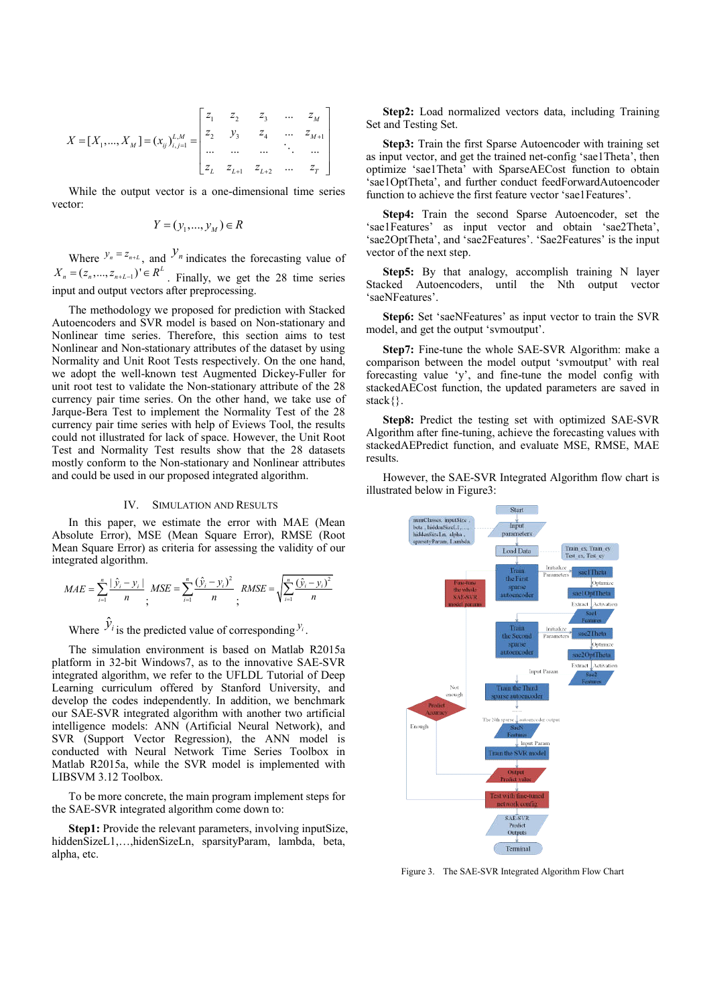$$
X = [X_1, ..., X_M] = (x_{ij})_{i,j=1}^{L,M} = \begin{bmatrix} z_1 & z_2 & z_3 & ... & z_M \\ z_2 & y_3 & z_4 & ... & z_{M+1} \\ ... & ... & ... & ... & ... \\ z_L & z_{L+1} & z_{L+2} & ... & z_T \end{bmatrix}
$$

While the output vector is a one-dimensional time series vector:

$$
Y = (y_1, \dots, y_M) \in R
$$

Where  $y_n = z_{n+1}$ , and  $y_n$  indicates the forecasting value of  $X_n = (z_n, ..., z_{n+L-1})' \in R^L$ . Finally, we get the 28 time series input and output vectors after preprocessing.

The methodology we proposed for prediction with Stacked Autoencoders and SVR model is based on Non-stationary and Nonlinear time series. Therefore, this section aims to test Nonlinear and Non-stationary attributes of the dataset by using Normality and Unit Root Tests respectively. On the one hand, we adopt the well-known test Augmented Dickey-Fuller for unit root test to validate the Non-stationary attribute of the 28 currency pair time series. On the other hand, we take use of Jarque-Bera Test to implement the Normality Test of the 28 currency pair time series with help of Eviews Tool, the results could not illustrated for lack of space. However, the Unit Root Test and Normality Test results show that the 28 datasets mostly conform to the Non-stationary and Nonlinear attributes and could be used in our proposed integrated algorithm.

## IV. SIMULATION AND RESULTS

In this paper, we estimate the error with MAE (Mean Absolute Error), MSE (Mean Square Error), RMSE (Root Mean Square Error) as criteria for assessing the validity of our integrated algorithm.

$$
MAE = \sum_{i=1}^{n} \frac{|\hat{y}_i - y_i|}{n}, \quad MSE = \sum_{i=1}^{n} \frac{(\hat{y}_i - y_i)^2}{n}, \quad RMSE = \sqrt{\sum_{i=1}^{n} \frac{(\hat{y}_i - y_i)^2}{n}}
$$

Where  $\hat{y}_i$  is the predicted value of corresponding  $y_i$ .

The simulation environment is based on Matlab R2015a platform in 32-bit Windows7, as to the innovative SAE-SVR integrated algorithm, we refer to the UFLDL Tutorial of Deep Learning curriculum offered by Stanford University, and develop the codes independently. In addition, we benchmark our SAE-SVR integrated algorithm with another two artificial intelligence models: ANN (Artificial Neural Network), and SVR (Support Vector Regression), the ANN model is conducted with Neural Network Time Series Toolbox in Matlab R2015a, while the SVR model is implemented with LIBSVM 3.12 Toolbox.

To be more concrete, the main program implement steps for the SAE-SVR integrated algorithm come down to:

**Step1:** Provide the relevant parameters, involving inputSize, hiddenSizeL1,…,hidenSizeLn, sparsityParam, lambda, beta, alpha, etc.

**Step2:** Load normalized vectors data, including Training Set and Testing Set.

**Step3:** Train the first Sparse Autoencoder with training set as input vector, and get the trained net-config 'sae1Theta', then optimize 'sae1Theta' with SparseAECost function to obtain 'sae1OptTheta', and further conduct feedForwardAutoencoder function to achieve the first feature vector 'sae1Features'.

**Step4:** Train the second Sparse Autoencoder, set the 'sae1Features' as input vector and obtain 'sae2Theta', 'sae2OptTheta', and 'sae2Features'. 'Sae2Features' is the input vector of the next step.

**Step5:** By that analogy, accomplish training N layer Stacked Autoencoders, until the Nth output vector 'saeNFeatures'.

**Step6:** Set 'saeNFeatures' as input vector to train the SVR model, and get the output 'svmoutput'.

**Step7:** Fine-tune the whole SAE-SVR Algorithm: make a comparison between the model output 'svmoutput' with real forecasting value 'y', and fine-tune the model config with stackedAECost function, the updated parameters are saved in stack{}.

**Step8:** Predict the testing set with optimized SAE-SVR Algorithm after fine-tuning, achieve the forecasting values with stackedAEPredict function, and evaluate MSE, RMSE, MAE results.

However, the SAE-SVR Integrated Algorithm flow chart is illustrated below in Figure3:



Figure 3. The SAE-SVR Integrated Algorithm Flow Chart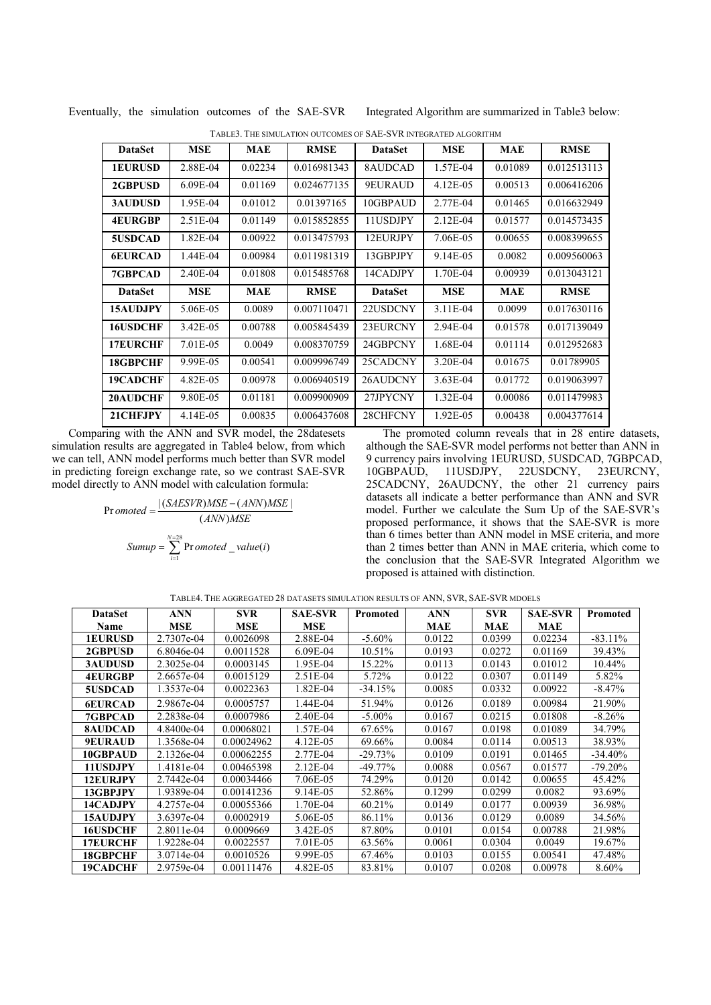| <b>DataSet</b>  | MSE        | MAE     | <b>RMSE</b> | <b>DataSet</b> | MSE        | MAE     | <b>RMSE</b> |
|-----------------|------------|---------|-------------|----------------|------------|---------|-------------|
| <b>1EURUSD</b>  | 2.88E-04   | 0.02234 | 0.016981343 | 8AUDCAD        | 1.57E-04   | 0.01089 | 0.012513113 |
| 2GBPUSD         | $6.09E-04$ | 0.01169 | 0.024677135 | 9EURAUD        | 4.12E-05   | 0.00513 | 0.006416206 |
| <b>3AUDUSD</b>  | 1.95E-04   | 0.01012 | 0.01397165  | 10GBPAUD       | 2.77E-04   | 0.01465 | 0.016632949 |
| <b>4EURGBP</b>  | 2.51E-04   | 0.01149 | 0.015852855 | 11USDJPY       | 2.12E-04   | 0.01577 | 0.014573435 |
| 5USDCAD         | 1.82E-04   | 0.00922 | 0.013475793 | 12EURJPY       | 7.06E-05   | 0.00655 | 0.008399655 |
| <b>6EURCAD</b>  | 1.44E-04   | 0.00984 | 0.011981319 | 13GBPJPY       | 9.14E-05   | 0.0082  | 0.009560063 |
| <b>7GBPCAD</b>  | 2.40E-04   | 0.01808 | 0.015485768 | 14CADJPY       | 1.70E-04   | 0.00939 | 0.013043121 |
| <b>DataSet</b>  | MSE        | MAE     | <b>RMSE</b> | <b>DataSet</b> | MSE        | MAE     | <b>RMSE</b> |
| 15AUDJPY        | 5.06E-05   | 0.0089  | 0.007110471 | 22USDCNY       | 3.11E-04   | 0.0099  | 0.017630116 |
| 16USDCHF        | 3.42E-05   | 0.00788 | 0.005845439 | 23EURCNY       | 2.94E-04   | 0.01578 | 0.017139049 |
| <b>17EURCHF</b> | 7.01E-05   | 0.0049  | 0.008370759 | 24GBPCNY       | 1.68E-04   | 0.01114 | 0.012952683 |
| 18GBPCHF        | 9.99E-05   | 0.00541 | 0.009996749 | 25CADCNY       | 3.20E-04   | 0.01675 | 0.01789905  |
| 19CADCHF        | 4.82E-05   | 0.00978 | 0.006940519 | 26AUDCNY       | $3.63E-04$ | 0.01772 | 0.019063997 |
| 20AUDCHF        | 9.80E-05   | 0.01181 | 0.009900909 | 27JPYCNY       | 1.32E-04   | 0.00086 | 0.011479983 |
| 21CHFJPY        | 4.14E-05   | 0.00835 | 0.006437608 | 28CHFCNY       | 1.92E-05   | 0.00438 | 0.004377614 |

Eventually, the simulation outcomes of the SAE-SVR Integrated Algorithm are summarized in Table3 below:

| TABLE3. THE SIMULATION OUTCOMES OF SAE-SVR INTEGRATED ALGORITHM |  |
|-----------------------------------------------------------------|--|
|-----------------------------------------------------------------|--|

Comparing with the ANN and SVR model, the 28datesets simulation results are aggregated in Table4 below, from which we can tell, ANN model performs much better than SVR model in predicting foreign exchange rate, so we contrast SAE-SVR model directly to ANN model with calculation formula:

$$
Pr\,omoted = \frac{|\,(SAESVR)MSE - (ANN)MSE|}{(ANN)MSE}
$$
\n
$$
Sumup = \sum_{i=1}^{N=28} Pr\,omoted\_value(i)
$$

The promoted column reveals that in 28 entire datasets, although the SAE-SVR model performs not better than ANN in 9 currency pairs involving 1EURUSD, 5USDCAD, 7GBPCAD, 10GBPAUD, 11USDJPY, 22USDCNY, 23EURCNY, 25CADCNY, 26AUDCNY, the other 21 currency pairs datasets all indicate a better performance than ANN and SVR model. Further we calculate the Sum Up of the SAE-SVR's proposed performance, it shows that the SAE-SVR is more than 6 times better than ANN model in MSE criteria, and more than 2 times better than ANN in MAE criteria, which come to the conclusion that the SAE-SVR Integrated Algorithm we proposed is attained with distinction.

| <b>DataSet</b>  | <b>ANN</b> | <b>SVR</b> | <b>SAE-SVR</b> | Promoted   | ANN        | <b>SVR</b> | <b>SAE-SVR</b> | Promoted   |
|-----------------|------------|------------|----------------|------------|------------|------------|----------------|------------|
| Name            | <b>MSE</b> | <b>MSE</b> | <b>MSE</b>     |            | <b>MAE</b> | MAE        | MAE            |            |
| <b>1EURUSD</b>  | 2.7307e-04 | 0.0026098  | 2.88E-04       | $-5.60\%$  | 0.0122     | 0.0399     | 0.02234        | $-83.11%$  |
| 2GBPUSD         | 6.8046e-04 | 0.0011528  | $6.09E-04$     | 10.51%     | 0.0193     | 0.0272     | 0.01169        | 39.43%     |
| <b>3AUDUSD</b>  | 2.3025e-04 | 0.0003145  | 1.95E-04       | 15.22%     | 0.0113     | 0.0143     | 0.01012        | 10.44%     |
| <b>4EURGBP</b>  | 2.6657e-04 | 0.0015129  | 2.51E-04       | 5.72%      | 0.0122     | 0.0307     | 0.01149        | 5.82%      |
| <b>5USDCAD</b>  | 1.3537e-04 | 0.0022363  | 1.82E-04       | $-34.15%$  | 0.0085     | 0.0332     | 0.00922        | $-8.47\%$  |
| <b>6EURCAD</b>  | 2.9867e-04 | 0.0005757  | 1.44E-04       | 51.94%     | 0.0126     | 0.0189     | 0.00984        | 21.90%     |
| 7GBPCAD         | 2.2838e-04 | 0.0007986  | 2.40E-04       | $-5.00\%$  | 0.0167     | 0.0215     | 0.01808        | $-8.26%$   |
| <b>8AUDCAD</b>  | 4.8400e-04 | 0.00068021 | 1.57E-04       | 67.65%     | 0.0167     | 0.0198     | 0.01089        | 34.79%     |
| <b>9EURAUD</b>  | 1.3568e-04 | 0.00024962 | 4.12E-05       | 69.66%     | 0.0084     | 0.0114     | 0.00513        | 38.93%     |
| 10GBPAUD        | 2.1326e-04 | 0.00062255 | 2.77E-04       | $-29.73\%$ | 0.0109     | 0.0191     | 0.01465        | $-34.40\%$ |
| <b>11USDJPY</b> | .4181e-04  | 0.00465398 | 2.12E-04       | $-49.77\%$ | 0.0088     | 0.0567     | 0.01577        | $-79.20%$  |
| <b>12EURJPY</b> | 2.7442e-04 | 0.00034466 | 7.06E-05       | 74.29%     | 0.0120     | 0.0142     | 0.00655        | 45.42%     |
| 13GBP.JPY       | 1.9389e-04 | 0.00141236 | 9.14E-05       | 52.86%     | 0.1299     | 0.0299     | 0.0082         | 93.69%     |
| 14CADJPY        | 4.2757e-04 | 0.00055366 | 1.70E-04       | 60.21%     | 0.0149     | 0.0177     | 0.00939        | 36.98%     |
| <b>15AUDJPY</b> | 3.6397e-04 | 0.0002919  | 5.06E-05       | 86.11%     | 0.0136     | 0.0129     | 0.0089         | 34.56%     |
| <b>16USDCHF</b> | 2.8011e-04 | 0.0009669  | 3.42E-05       | 87.80%     | 0.0101     | 0.0154     | 0.00788        | 21.98%     |
| <b>17EURCHF</b> | 1.9228e-04 | 0.0022557  | 7.01E-05       | 63.56%     | 0.0061     | 0.0304     | 0.0049         | 19.67%     |
| 18GBPCHF        | 3.0714e-04 | 0.0010526  | 9.99E-05       | 67.46%     | 0.0103     | 0.0155     | 0.00541        | 47.48%     |
| <b>19CADCHF</b> | 2.9759e-04 | 0.00111476 | 4.82E-05       | 83.81%     | 0.0107     | 0.0208     | 0.00978        | 8.60%      |

TABLE4. THE AGGREGATED 28 DATASETS SIMULATION RESULTS OF ANN, SVR, SAE-SVR MDOELS